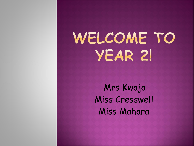# WELCOME TO YEAR 2!

Mrs Kwaja Miss Cresswell Miss Mahara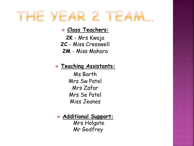# THE YEAR 2 TEAM...

#### **Class Teachers:**

**2K** - Mrs Kwaja **2C** - Miss Cresswell **2M** - Miss Mahara

#### **Teaching Assistants:**

Ms Barth Mrs Sw Patel Mrs Zafar Mrs Se Patel Miss Jeanes

 **Additional Support:** Mrs Holgate Mr Godfrey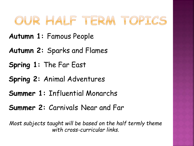## OUR HALF TERM TOPICS

- **Autumn 1:** Famous People
- **Autumn 2:** Sparks and Flames
- **Spring 1:** The Far East
- **Spring 2:** Animal Adventures
- **Summer 1:** Influential Monarchs
- **Summer 2:** Carnivals Near and Far

*Most subjects taught will be based on the half termly theme with cross-curricular links.*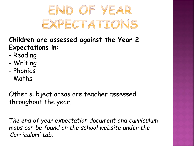

### **Children are assessed against the Year 2 Expectations in:**

- Reading
- Writing
- Phonics
- Maths

Other subject areas are teacher assessed throughout the year.

*The end of year expectation document and curriculum maps can be found on the school website under the 'Curriculum' tab.*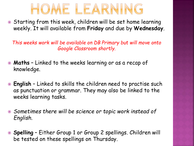

• Starting from this week, children will be set home learning weekly. It will available from **Friday** and due by **Wednesday**.

*This weeks work will be available on DB Primary but will move onto Google Classroom shortly.* 

- **Maths** Linked to the weeks learning or as a recap of knowledge.
- **English** Linked to skills the children need to practise such as punctuation or grammar. They may also be linked to the weeks learning tasks.
- *Sometimes there will be science or topic work instead of English.*
- **Spelling** Either Group 1 or Group 2 spellings. Children will be tested on these spellings on Thursday.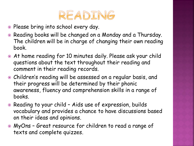

- Please bring into school every day.
- Reading books will be changed on a Monday and a Thursday. The children will be in charge of changing their own reading book.
- At home reading for 10 minutes daily. Please ask your child questions about the text throughout their reading and comment in their reading records.
- Children's reading will be assessed on a regular basis, and their progress will be determined by their phonic awareness, fluency and comprehension skills in a range of books.
- Reading to your child Aids use of expression, builds vocabulary and provides a chance to have discussions based on their ideas and opinions.
- MyOns Great resource for children to read a range of texts and complete quizzes.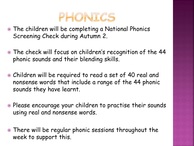

- The children will be completing a National Phonics Screening Check during Autumn 2.
- The check will focus on children's recognition of the 44 phonic sounds and their blending skills.
- Children will be required to read a set of 40 real and nonsense words that include a range of the 44 phonic sounds they have learnt.
- Please encourage your children to practise their sounds using real and nonsense words.
- There will be regular phonic sessions throughout the week to support this.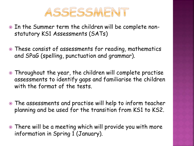

- In the Summer term the children will be complete nonstatutory KS1 Assessments (SATs)
- These consist of assessments for reading, mathematics and SPaG (spelling, punctuation and grammar).
- Throughout the year, the children will complete practise assessments to identify gaps and familiarise the children with the format of the tests.
- The assessments and practise will help to inform teacher planning and be used for the transition from KS1 to KS2.
- There will be a meeting which will provide you with more information in Spring 1 (January).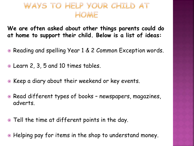## WAYS TO HELP YOUR CHILD AT HOME

**We are often asked about other things parents could do at home to support their child. Below is a list of ideas:**

- Reading and spelling Year 1 & 2 Common Exception words.
- Learn 2, 3, 5 and 10 times tables.
- Keep a diary about their weekend or key events.
- Read different types of books newspapers, magazines, adverts.
- Tell the time at different points in the day.
- Helping pay for items in the shop to understand money.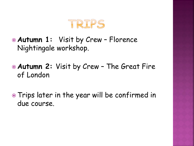

- **Autumn 1:** Visit by Crew Florence Nightingale workshop.
- **Autumn 2:** Visit by Crew The Great Fire of London
- Trips later in the year will be confirmed in due course.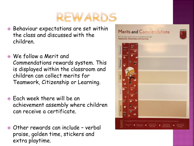

- Behaviour expectations are set within the class and discussed with the children.
- We follow a Merit and Commendations rewards system. This is displayed within the classroom and children can collect merits for Teamwork, Citizenship or Learning.
- Each week there will be an achievement assembly where children can receive a certificate.
- Other rewards can include verbal praise, golden time, stickers and extra playtime.

#### Merits and Commendations

You can gain merits and commendations through **Teamwork, Citizenship and Learning** 

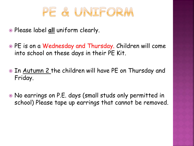

- Please label **all** uniform clearly.
- PE is on a Wednesday and Thursday. Children will come into school on these days in their PE Kit.
- In Autumn 2 the children will have PE on Thursday and Friday.
- No earrings on P.E. days (small studs only permitted in school) Please tape up earrings that cannot be removed.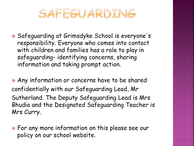

 Safeguarding at Grimsdyke School is everyone's responsibility. Everyone who comes into contact with children and families has a role to play in safeguarding- identifying concerns, sharing information and taking prompt action.

 Any information or concerns have to be shared confidentially with our Safeguarding Lead, Mr Sutherland. The Deputy Safeguarding Lead is Mrs Bhudia and the Designated Safeguarding Teacher is Mrs Curry.

 For any more information on this please see our policy on our school website.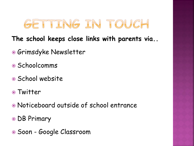

### **The school keeps close links with parents via..**

- Grimsdyke Newsletter
- Schoolcomms
- School website
- Twitter
- Noticeboard outside of school entrance
- DB Primary
- Soon Google Classroom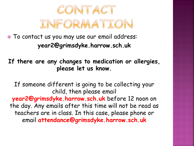

 To contact us you may use our email address: **year2@grimsdyke.harrow.sch.uk**

**If there are any changes to medication or allergies, please let us know.**

If someone different is going to be collecting your child, then please email **year2@grimsdyke.harrow.sch.uk** before 12 noon on the day. Any emails after this time will not be read as teachers are in class. In this case, please phone or email **attendance@grimsdyke.harrow.sch.uk**